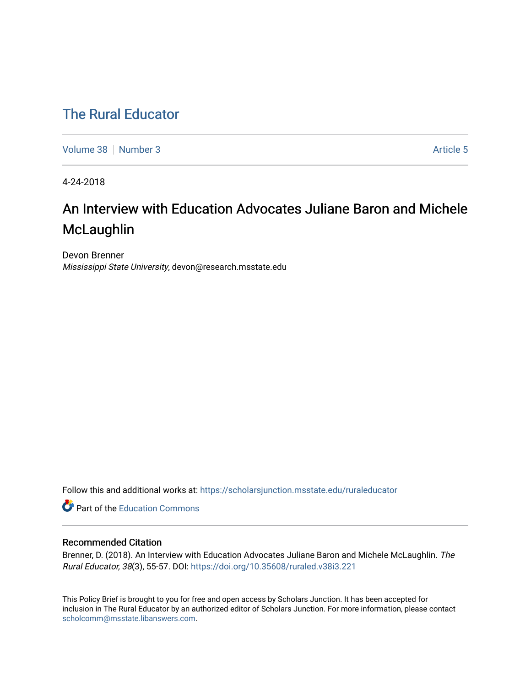## [The Rural Educator](https://scholarsjunction.msstate.edu/ruraleducator)

[Volume 38](https://scholarsjunction.msstate.edu/ruraleducator/vol38) [Number 3](https://scholarsjunction.msstate.edu/ruraleducator/vol38/iss3) Article 5

4-24-2018

# An Interview with Education Advocates Juliane Baron and Michele **McLaughlin**

Devon Brenner Mississippi State University, devon@research.msstate.edu

Follow this and additional works at: [https://scholarsjunction.msstate.edu/ruraleducator](https://scholarsjunction.msstate.edu/ruraleducator?utm_source=scholarsjunction.msstate.edu%2Fruraleducator%2Fvol38%2Fiss3%2F5&utm_medium=PDF&utm_campaign=PDFCoverPages)

**C** Part of the [Education Commons](http://network.bepress.com/hgg/discipline/784?utm_source=scholarsjunction.msstate.edu%2Fruraleducator%2Fvol38%2Fiss3%2F5&utm_medium=PDF&utm_campaign=PDFCoverPages)

## Recommended Citation

Brenner, D. (2018). An Interview with Education Advocates Juliane Baron and Michele McLaughlin. The Rural Educator, 38(3), 55-57. DOI:<https://doi.org/10.35608/ruraled.v38i3.221>

This Policy Brief is brought to you for free and open access by Scholars Junction. It has been accepted for inclusion in The Rural Educator by an authorized editor of Scholars Junction. For more information, please contact [scholcomm@msstate.libanswers.com.](mailto:scholcomm@msstate.libanswers.com)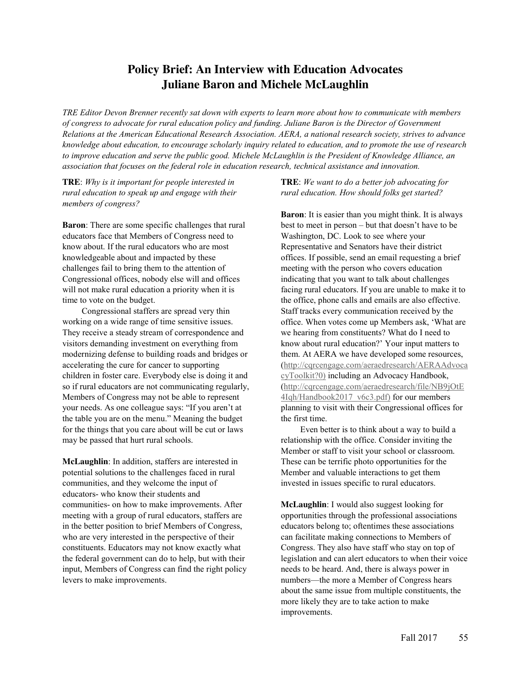## **Policy Brief: An Interview with Education Advocates Juliane Baron and Michele McLaughlin**

*TRE Editor Devon Brenner recently sat down with experts to learn more about how to communicate with members of congress to advocate for rural education policy and funding. Juliane Baron is the Director of Government Relations at the American Educational Research Association. AERA, a national research society, strives to advance knowledge about education, to encourage scholarly inquiry related to education, and to promote the use of research to improve education and serve the public good. Michele McLaughlin is the President of Knowledge Alliance, an association that focuses on the federal role in education research, technical assistance and innovation.*

**TRE**: *Why is it important for people interested in rural education to speak up and engage with their members of congress?*

**Baron**: There are some specific challenges that rural educators face that Members of Congress need to know about. If the rural educators who are most knowledgeable about and impacted by these challenges fail to bring them to the attention of Congressional offices, nobody else will and offices will not make rural education a priority when it is time to vote on the budget.

Congressional staffers are spread very thin working on a wide range of time sensitive issues. They receive a steady stream of correspondence and visitors demanding investment on everything from modernizing defense to building roads and bridges or accelerating the cure for cancer to supporting children in foster care. Everybody else is doing it and so if rural educators are not communicating regularly, Members of Congress may not be able to represent your needs. As one colleague says: "If you aren't at the table you are on the menu." Meaning the budget for the things that you care about will be cut or laws may be passed that hurt rural schools.

**McLaughlin**: In addition, staffers are interested in potential solutions to the challenges faced in rural communities, and they welcome the input of educators- who know their students and communities- on how to make improvements. After meeting with a group of rural educators, staffers are in the better position to brief Members of Congress, who are very interested in the perspective of their constituents. Educators may not know exactly what the federal government can do to help, but with their input, Members of Congress can find the right policy levers to make improvements.

**TRE**: *We want to do a better job advocating for rural education. How should folks get started?*

**Baron**: It is easier than you might think. It is always best to meet in person – but that doesn't have to be Washington, DC. Look to see where your Representative and Senators have their district offices. If possible, send an email requesting a brief meeting with the person who covers education indicating that you want to talk about challenges facing rural educators. If you are unable to make it to the office, phone calls and emails are also effective. Staff tracks every communication received by the office. When votes come up Members ask, 'What are we hearing from constituents? What do I need to know about rural education?' Your input matters to them. At AERA we have developed some resources, (http://cqrcengage.com/aeraedresearch/AERAAdvoca cyToolkit?0) including an Advocacy Handbook, (http://cqrcengage.com/aeraedresearch/file/NB9jOtE 4Iqh/Handbook2017\_v6c3.pdf) for our members planning to visit with their Congressional offices for the first time.

Even better is to think about a way to build a relationship with the office. Consider inviting the Member or staff to visit your school or classroom. These can be terrific photo opportunities for the Member and valuable interactions to get them invested in issues specific to rural educators.

**McLaughlin**: I would also suggest looking for opportunities through the professional associations educators belong to; oftentimes these associations can facilitate making connections to Members of Congress. They also have staff who stay on top of legislation and can alert educators to when their voice needs to be heard. And, there is always power in numbers—the more a Member of Congress hears about the same issue from multiple constituents, the more likely they are to take action to make improvements.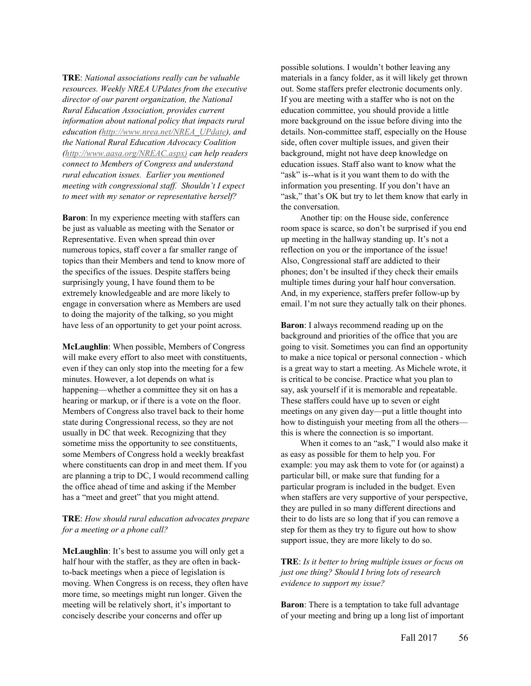**TRE**: *National associations really can be valuable resources. Weekly NREA UPdates from the executive director of our parent organization, the National Rural Education Association, provides current information about national policy that impacts rural education (http://www.nrea.net/NREA\_UPdate), and the National Rural Education Advocacy Coalition (http://www.aasa.org/NREAC.aspx) can help readers connect to Members of Congress and understand rural education issues. Earlier you mentioned meeting with congressional staff. Shouldn't I expect to meet with my senator or representative herself?*

**Baron**: In my experience meeting with staffers can be just as valuable as meeting with the Senator or Representative. Even when spread thin over numerous topics, staff cover a far smaller range of topics than their Members and tend to know more of the specifics of the issues. Despite staffers being surprisingly young, I have found them to be extremely knowledgeable and are more likely to engage in conversation where as Members are used to doing the majority of the talking, so you might have less of an opportunity to get your point across.

**McLaughlin**: When possible, Members of Congress will make every effort to also meet with constituents, even if they can only stop into the meeting for a few minutes. However, a lot depends on what is happening—whether a committee they sit on has a hearing or markup, or if there is a vote on the floor. Members of Congress also travel back to their home state during Congressional recess, so they are not usually in DC that week. Recognizing that they sometime miss the opportunity to see constituents, some Members of Congress hold a weekly breakfast where constituents can drop in and meet them. If you are planning a trip to DC, I would recommend calling the office ahead of time and asking if the Member has a "meet and greet" that you might attend.

### **TRE**: *How should rural education advocates prepare for a meeting or a phone call?*

**McLaughlin**: It's best to assume you will only get a half hour with the staffer, as they are often in backto-back meetings when a piece of legislation is moving. When Congress is on recess, they often have more time, so meetings might run longer. Given the meeting will be relatively short, it's important to concisely describe your concerns and offer up

possible solutions. I wouldn't bother leaving any materials in a fancy folder, as it will likely get thrown out. Some staffers prefer electronic documents only. If you are meeting with a staffer who is not on the education committee, you should provide a little more background on the issue before diving into the details. Non-committee staff, especially on the House side, often cover multiple issues, and given their background, might not have deep knowledge on education issues. Staff also want to know what the "ask" is--what is it you want them to do with the information you presenting. If you don't have an "ask," that's OK but try to let them know that early in the conversation.

Another tip: on the House side, conference room space is scarce, so don't be surprised if you end up meeting in the hallway standing up. It's not a reflection on you or the importance of the issue! Also, Congressional staff are addicted to their phones; don't be insulted if they check their emails multiple times during your half hour conversation. And, in my experience, staffers prefer follow-up by email. I'm not sure they actually talk on their phones.

**Baron**: I always recommend reading up on the background and priorities of the office that you are going to visit. Sometimes you can find an opportunity to make a nice topical or personal connection - which is a great way to start a meeting. As Michele wrote, it is critical to be concise. Practice what you plan to say, ask yourself if it is memorable and repeatable. These staffers could have up to seven or eight meetings on any given day—put a little thought into how to distinguish your meeting from all the others this is where the connection is so important.

When it comes to an "ask," I would also make it as easy as possible for them to help you. For example: you may ask them to vote for (or against) a particular bill, or make sure that funding for a particular program is included in the budget. Even when staffers are very supportive of your perspective, they are pulled in so many different directions and their to do lists are so long that if you can remove a step for them as they try to figure out how to show support issue, they are more likely to do so.

**TRE**: *Is it better to bring multiple issues or focus on just one thing? Should I bring lots of research evidence to support my issue?*

**Baron**: There is a temptation to take full advantage of your meeting and bring up a long list of important